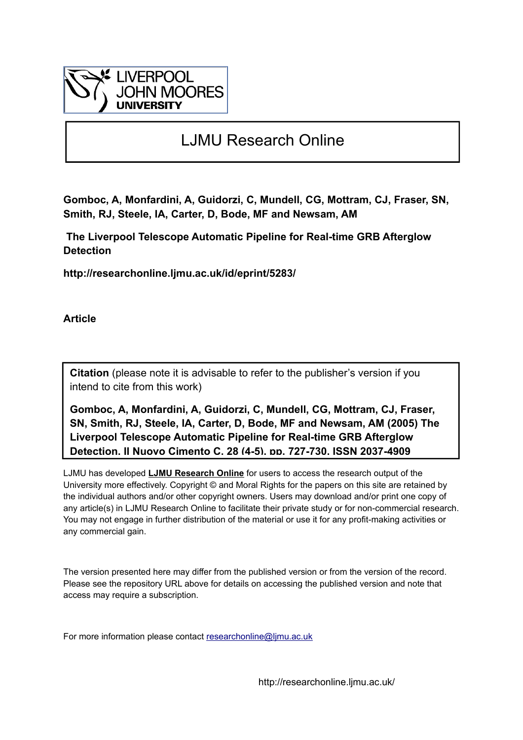

# LJMU Research Online

**Gomboc, A, Monfardini, A, Guidorzi, C, Mundell, CG, Mottram, CJ, Fraser, SN, Smith, RJ, Steele, IA, Carter, D, Bode, MF and Newsam, AM**

 **The Liverpool Telescope Automatic Pipeline for Real-time GRB Afterglow Detection**

**http://researchonline.ljmu.ac.uk/id/eprint/5283/**

**Article**

**Citation** (please note it is advisable to refer to the publisher's version if you intend to cite from this work)

**Gomboc, A, Monfardini, A, Guidorzi, C, Mundell, CG, Mottram, CJ, Fraser, SN, Smith, RJ, Steele, IA, Carter, D, Bode, MF and Newsam, AM (2005) The Liverpool Telescope Automatic Pipeline for Real-time GRB Afterglow Detection. Il Nuovo Cimento C, 28 (4-5). pp. 727-730. ISSN 2037-4909** 

LJMU has developed **[LJMU Research Online](http://researchonline.ljmu.ac.uk/)** for users to access the research output of the University more effectively. Copyright © and Moral Rights for the papers on this site are retained by the individual authors and/or other copyright owners. Users may download and/or print one copy of any article(s) in LJMU Research Online to facilitate their private study or for non-commercial research. You may not engage in further distribution of the material or use it for any profit-making activities or any commercial gain.

The version presented here may differ from the published version or from the version of the record. Please see the repository URL above for details on accessing the published version and note that access may require a subscription.

For more information please contact researchonline@limu.ac.uk

http://researchonline.ljmu.ac.uk/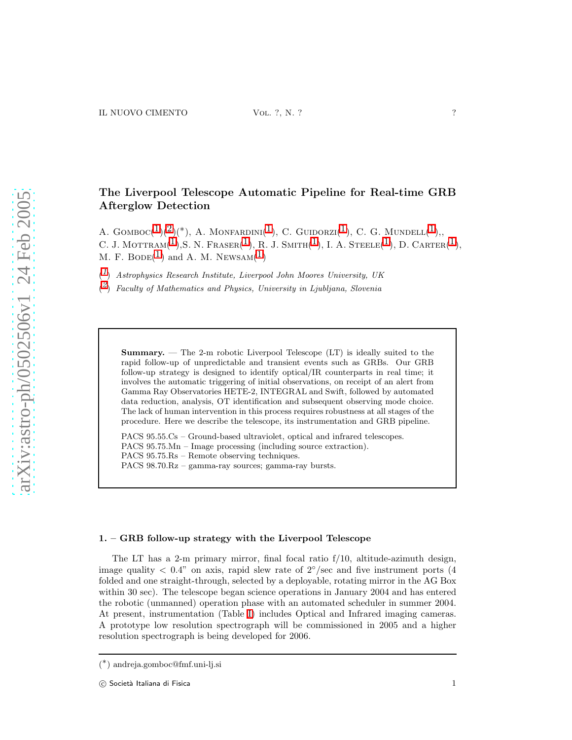## The Liverpool Telescope Automatic Pipeline for Real-time GRB Afterglow Detection

A.  $Gomboc(^{1})(^{2})(^{*})$  $Gomboc(^{1})(^{2})(^{*})$  $Gomboc(^{1})(^{2})(^{*})$  $Gomboc(^{1})(^{2})(^{*})$  $Gomboc(^{1})(^{2})(^{*})$ , A. Monfardini(<sup>1</sup>), C. Guidorzi(<sup>1</sup>), C. G. Mundell(<sup>1</sup>), C. J. MOTTRAM $(1),$  $(1),$  $(1),$ S. N. FRASER $(1),$  R. J. SMITH $(1),$  I. A. STEELE $(1),$  D. CARTER $(1),$ M. F. BODE( $^1$  $^1$ ) and A. M. NEWSAM( $^1$ )

<span id="page-1-0"></span> $(1)$  $(1)$  $(1)$  Astrophysics Research Institute, Liverpool John Moores University, UK

 $\binom{2}{1}$  $\binom{2}{1}$  $\binom{2}{1}$  Faculty of Mathematics and Physics, University in Ljubljana, Slovenia

<span id="page-1-1"></span>**Summary.** — The 2-m robotic Liverpool Telescope  $(LT)$  is ideally suited to the rapid follow-up of unpredictable and transient events such as GRBs. Our GRB follow-up strategy is designed to identify optical/IR counterparts in real time; it involves the automatic triggering of initial observations, on receipt of an alert from Gamma Ray Observatories HETE-2, INTEGRAL and Swift, followed by automated data reduction, analysis, OT identification and subsequent observing mode choice. The lack of human intervention in this process requires robustness at all stages of the procedure. Here we describe the telescope, its instrumentation and GRB pipeline.

PACS 95.55.Cs – Ground-based ultraviolet, optical and infrared telescopes. PACS 95.75.Mn – Image processing (including source extraction). PACS 95.75.Rs – Remote observing techniques. PACS 98.70.Rz – gamma-ray sources; gamma-ray bursts.

### 1. – GRB follow-up strategy with the Liverpool Telescope

The LT has a 2-m primary mirror, final focal ratio f/10, altitude-azimuth design, image quality  $\langle 0.4$ " on axis, rapid slew rate of  $2^{\circ}/\text{sec}$  and five instrument ports (4 folded and one straight-through, selected by a deployable, rotating mirror in the AG Box within 30 sec). The telescope began science operations in January 2004 and has entered the robotic (unmanned) operation phase with an automated scheduler in summer 2004. At present, instrumentation (Table [I\)](#page-2-0) includes Optical and Infrared imaging cameras. A prototype low resolution spectrograph will be commissioned in 2005 and a higher resolution spectrograph is being developed for 2006.

<sup>(</sup> ∗ ) andreja.gomboc@fmf.uni-lj.si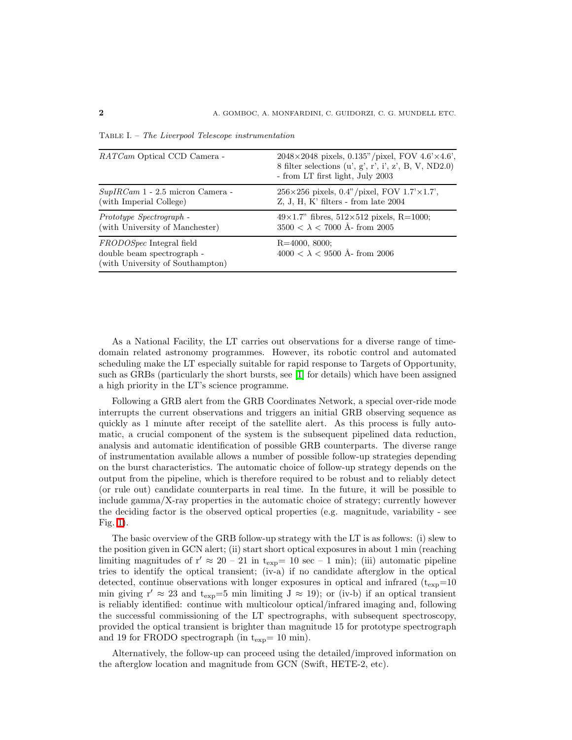| <i>RATCam</i> Optical CCD Camera -                                                                | $2048 \times 2048$ pixels, 0.135"/pixel, FOV 4.6'×4.6',<br>8 filter selections $(u', g', r', i', z', B, V, ND2.0)$<br>- from LT first light, July 2003 |
|---------------------------------------------------------------------------------------------------|--------------------------------------------------------------------------------------------------------------------------------------------------------|
| $SupIRCam 1 - 2.5$ micron Camera -<br>(with Imperial College)                                     | $256 \times 256$ pixels, 0.4"/pixel, FOV 1.7' $\times$ 1.7',<br>$Z, J, H, K'$ filters - from late 2004                                                 |
| Prototype Spectrograph -<br>(with University of Manchester)                                       | $49\times1.7$ " fibres, $512\times512$ pixels, R=1000;<br>$3500 < \lambda < 7000$ Å- from 2005                                                         |
| <i>FRODOSpec</i> Integral field<br>double beam spectrograph -<br>(with University of Southampton) | $R = 4000, 8000;$<br>$4000 < \lambda < 9500$ Å- from 2006                                                                                              |

<span id="page-2-0"></span>Table I. – The Liverpool Telescope instrumentation

As a National Facility, the LT carries out observations for a diverse range of timedomain related astronomy programmes. However, its robotic control and automated scheduling make the LT especially suitable for rapid response to Targets of Opportunity, such as GRBs (particularly the short bursts, see [\[1\]](#page-5-0) for details) which have been assigned a high priority in the LT's science programme.

Following a GRB alert from the GRB Coordinates Network, a special over-ride mode interrupts the current observations and triggers an initial GRB observing sequence as quickly as 1 minute after receipt of the satellite alert. As this process is fully automatic, a crucial component of the system is the subsequent pipelined data reduction, analysis and automatic identification of possible GRB counterparts. The diverse range of instrumentation available allows a number of possible follow-up strategies depending on the burst characteristics. The automatic choice of follow-up strategy depends on the output from the pipeline, which is therefore required to be robust and to reliably detect (or rule out) candidate counterparts in real time. In the future, it will be possible to include gamma/X-ray properties in the automatic choice of strategy; currently however the deciding factor is the observed optical properties (e.g. magnitude, variability - see Fig. [1\)](#page-3-0).

The basic overview of the GRB follow-up strategy with the LT is as follows: (i) slew to the position given in GCN alert; (ii) start short optical exposures in about 1 min (reaching limiting magnitudes of  $r' \approx 20 - 21$  in  $t_{exp} = 10$  sec  $-1$  min); (iii) automatic pipeline tries to identify the optical transient; (iv-a) if no candidate afterglow in the optical detected, continue observations with longer exposures in optical and infrared  $(t_{exp}=10$ min giving  $r' \approx 23$  and  $t_{\rm exp}=5$  min limiting  $J \approx 19$ ); or (iv-b) if an optical transient is reliably identified: continue with multicolour optical/infrared imaging and, following the successful commissioning of the LT spectrographs, with subsequent spectroscopy, provided the optical transient is brighter than magnitude 15 for prototype spectrograph and 19 for FRODO spectrograph (in  $t_{exp}= 10 \text{ min}$ ).

Alternatively, the follow-up can proceed using the detailed/improved information on the afterglow location and magnitude from GCN (Swift, HETE-2, etc).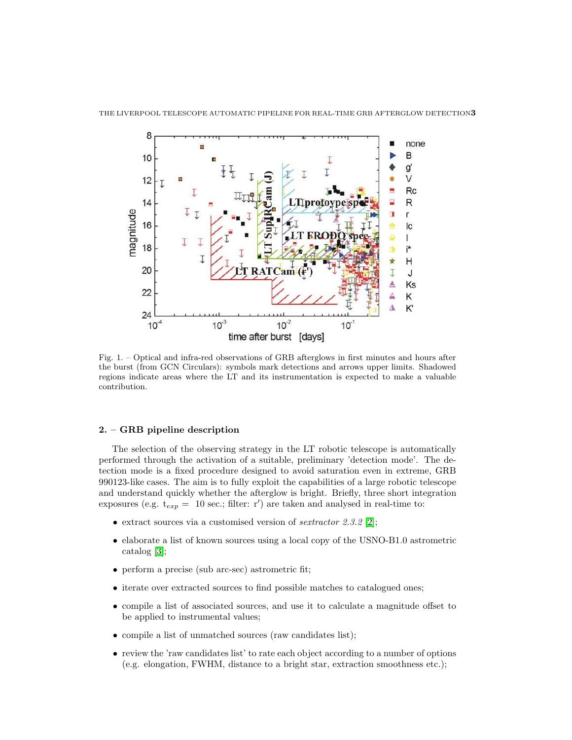

<span id="page-3-0"></span>Fig. 1. – Optical and infra-red observations of GRB afterglows in first minutes and hours after the burst (from GCN Circulars): symbols mark detections and arrows upper limits. Shadowed regions indicate areas where the LT and its instrumentation is expected to make a valuable contribution.

### 2. – GRB pipeline description

The selection of the observing strategy in the LT robotic telescope is automatically performed through the activation of a suitable, preliminary 'detection mode'. The detection mode is a fixed procedure designed to avoid saturation even in extreme, GRB 990123-like cases. The aim is to fully exploit the capabilities of a large robotic telescope and understand quickly whether the afterglow is bright. Briefly, three short integration exposures (e.g.  $t_{exp} = 10$  sec.; filter: r') are taken and analysed in real-time to:

- extract sources via a customised version of *sextractor*  $2.3.2$  [\[2\]](#page-5-1);
- elaborate a list of known sources using a local copy of the USNO-B1.0 astrometric catalog [\[3\]](#page-5-2);
- perform a precise (sub arc-sec) astrometric fit;
- iterate over extracted sources to find possible matches to catalogued ones;
- compile a list of associated sources, and use it to calculate a magnitude offset to be applied to instrumental values;
- compile a list of unmatched sources (raw candidates list);
- review the 'raw candidates list' to rate each object according to a number of options (e.g. elongation, FWHM, distance to a bright star, extraction smoothness etc.);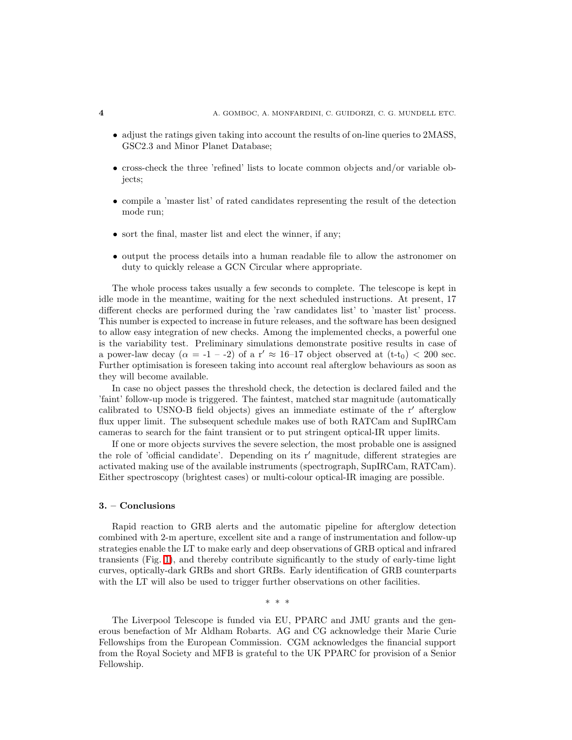- adjust the ratings given taking into account the results of on-line queries to 2MASS, GSC2.3 and Minor Planet Database;
- cross-check the three 'refined' lists to locate common objects and/or variable objects;
- compile a 'master list' of rated candidates representing the result of the detection mode run;
- sort the final, master list and elect the winner, if any;
- output the process details into a human readable file to allow the astronomer on duty to quickly release a GCN Circular where appropriate.

The whole process takes usually a few seconds to complete. The telescope is kept in idle mode in the meantime, waiting for the next scheduled instructions. At present, 17 different checks are performed during the 'raw candidates list' to 'master list' process. This number is expected to increase in future releases, and the software has been designed to allow easy integration of new checks. Among the implemented checks, a powerful one is the variability test. Preliminary simulations demonstrate positive results in case of a power-law decay  $(\alpha = -1 - 2)$  of a r'  $\approx 16-17$  object observed at  $(t-t_0) < 200$  sec. Further optimisation is foreseen taking into account real afterglow behaviours as soon as they will become available.

In case no object passes the threshold check, the detection is declared failed and the 'faint' follow-up mode is triggered. The faintest, matched star magnitude (automatically calibrated to USNO-B field objects) gives an immediate estimate of the r′ afterglow flux upper limit. The subsequent schedule makes use of both RATCam and SupIRCam cameras to search for the faint transient or to put stringent optical-IR upper limits.

If one or more objects survives the severe selection, the most probable one is assigned the role of 'official candidate'. Depending on its r′ magnitude, different strategies are activated making use of the available instruments (spectrograph, SupIRCam, RATCam). Either spectroscopy (brightest cases) or multi-colour optical-IR imaging are possible.

#### 3. – Conclusions

Rapid reaction to GRB alerts and the automatic pipeline for afterglow detection combined with 2-m aperture, excellent site and a range of instrumentation and follow-up strategies enable the LT to make early and deep observations of GRB optical and infrared transients (Fig. [1\)](#page-3-0), and thereby contribute significantly to the study of early-time light curves, optically-dark GRBs and short GRBs. Early identification of GRB counterparts with the LT will also be used to trigger further observations on other facilities.

∗ ∗ ∗

The Liverpool Telescope is funded via EU, PPARC and JMU grants and the generous benefaction of Mr Aldham Robarts. AG and CG acknowledge their Marie Curie Fellowships from the European Commission. CGM acknowledges the financial support from the Royal Society and MFB is grateful to the UK PPARC for provision of a Senior Fellowship.